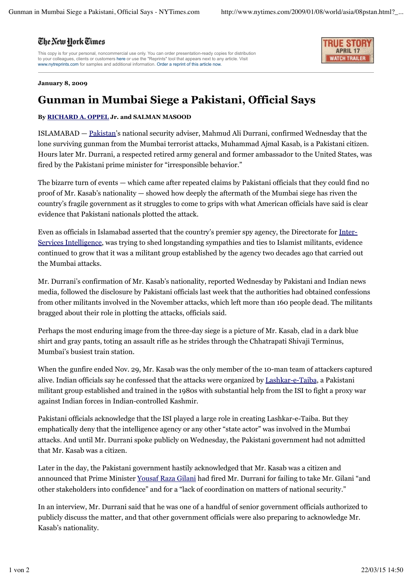## The New York Times

This copy is for your personal, noncommercial use only. You can order presentation-ready copies for distribution<br>to your colleagues, clients or customers here or use the "Reprints" tool that appears next to any article. Vi www.nytreprints.com for samples and additional information. Order a reprint of this article now.



**January 8, 2009**

## **Gunman in Mumbai Siege a Pakistani, Official Says**

## **By RICHARD A. OPPEL Jr. and SALMAN MASOOD**

ISLAMABAD — Pakistan's national security adviser, Mahmud Ali Durrani, confirmed Wednesday that the lone surviving gunman from the Mumbai terrorist attacks, Muhammad Ajmal Kasab, is a Pakistani citizen. Hours later Mr. Durrani, a respected retired army general and former ambassador to the United States, was fired by the Pakistani prime minister for "irresponsible behavior."

The bizarre turn of events — which came after repeated claims by Pakistani officials that they could find no proof of Mr. Kasab's nationality — showed how deeply the aftermath of the Mumbai siege has riven the country's fragile government as it struggles to come to grips with what American officials have said is clear evidence that Pakistani nationals plotted the attack.

Even as officials in Islamabad asserted that the country's premier spy agency, the Directorate for Inter-Services Intelligence, was trying to shed longstanding sympathies and ties to Islamist militants, evidence continued to grow that it was a militant group established by the agency two decades ago that carried out the Mumbai attacks.

Mr. Durrani's confirmation of Mr. Kasab's nationality, reported Wednesday by Pakistani and Indian news media, followed the disclosure by Pakistani officials last week that the authorities had obtained confessions from other militants involved in the November attacks, which left more than 160 people dead. The militants bragged about their role in plotting the attacks, officials said.

Perhaps the most enduring image from the three-day siege is a picture of Mr. Kasab, clad in a dark blue shirt and gray pants, toting an assault rifle as he strides through the Chhatrapati Shivaji Terminus, Mumbai's busiest train station.

When the gunfire ended Nov. 29, Mr. Kasab was the only member of the 10-man team of attackers captured alive. Indian officials say he confessed that the attacks were organized by Lashkar-e-Taiba, a Pakistani militant group established and trained in the 1980s with substantial help from the ISI to fight a proxy war against Indian forces in Indian-controlled Kashmir.

Pakistani officials acknowledge that the ISI played a large role in creating Lashkar-e-Taiba. But they emphatically deny that the intelligence agency or any other "state actor" was involved in the Mumbai attacks. And until Mr. Durrani spoke publicly on Wednesday, the Pakistani government had not admitted that Mr. Kasab was a citizen.

Later in the day, the Pakistani government hastily acknowledged that Mr. Kasab was a citizen and announced that Prime Minister Yousaf Raza Gilani had fired Mr. Durrani for failing to take Mr. Gilani "and other stakeholders into confidence" and for a "lack of coordination on matters of national security."

In an interview, Mr. Durrani said that he was one of a handful of senior government officials authorized to publicly discuss the matter, and that other government officials were also preparing to acknowledge Mr. Kasab's nationality.